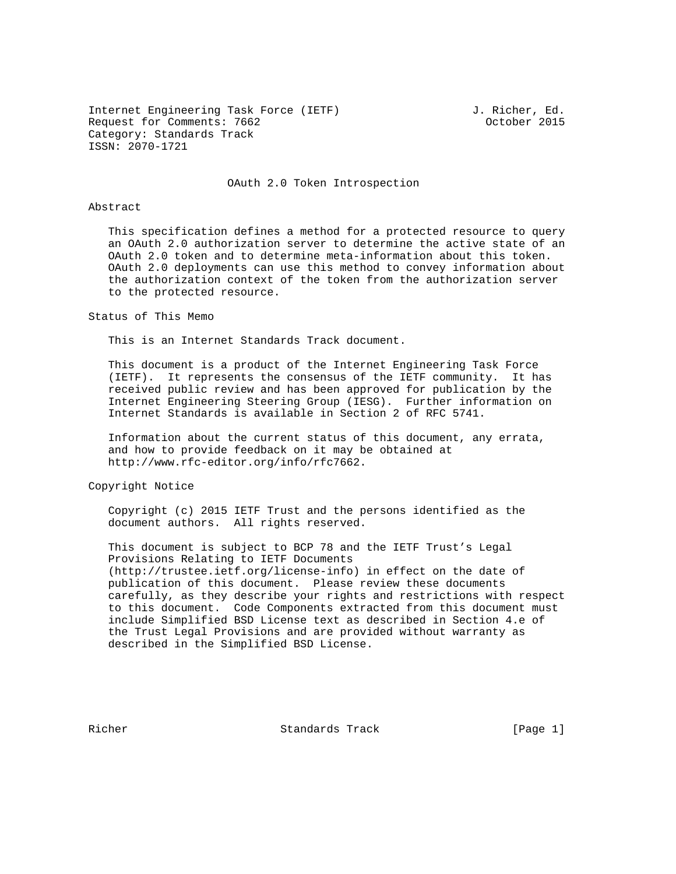Internet Engineering Task Force (IETF) and J. Richer, Ed. Request for Comments: 7662 Constanting Comments: 7662 Category: Standards Track ISSN: 2070-1721

### OAuth 2.0 Token Introspection

### Abstract

 This specification defines a method for a protected resource to query an OAuth 2.0 authorization server to determine the active state of an OAuth 2.0 token and to determine meta-information about this token. OAuth 2.0 deployments can use this method to convey information about the authorization context of the token from the authorization server to the protected resource.

### Status of This Memo

This is an Internet Standards Track document.

 This document is a product of the Internet Engineering Task Force (IETF). It represents the consensus of the IETF community. It has received public review and has been approved for publication by the Internet Engineering Steering Group (IESG). Further information on Internet Standards is available in Section 2 of RFC 5741.

 Information about the current status of this document, any errata, and how to provide feedback on it may be obtained at http://www.rfc-editor.org/info/rfc7662.

Copyright Notice

 Copyright (c) 2015 IETF Trust and the persons identified as the document authors. All rights reserved.

 This document is subject to BCP 78 and the IETF Trust's Legal Provisions Relating to IETF Documents (http://trustee.ietf.org/license-info) in effect on the date of publication of this document. Please review these documents carefully, as they describe your rights and restrictions with respect to this document. Code Components extracted from this document must include Simplified BSD License text as described in Section 4.e of the Trust Legal Provisions and are provided without warranty as described in the Simplified BSD License.

Richer Standards Track [Page 1]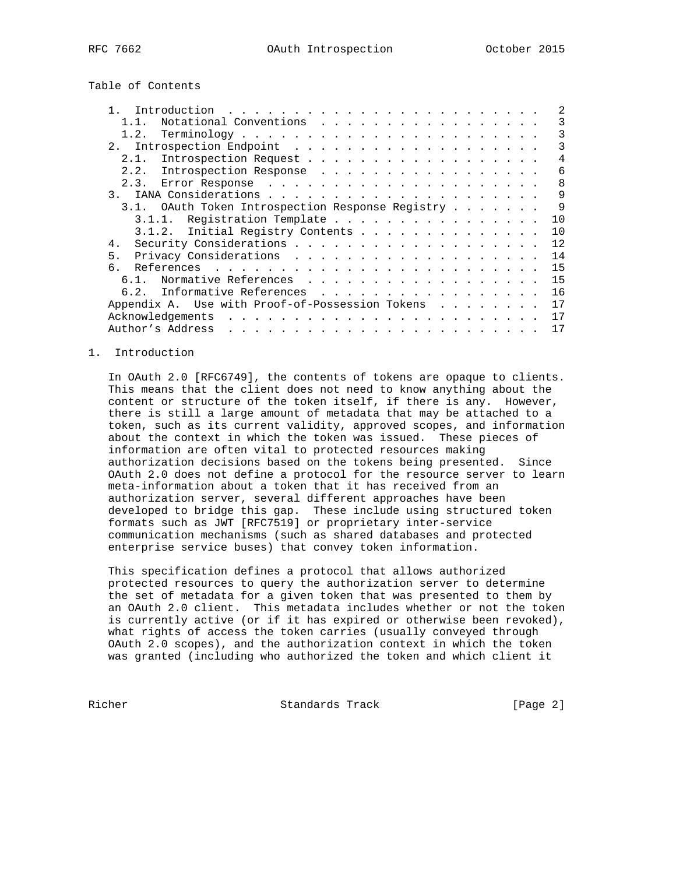Table of Contents

|                  | Introduction                                    | $\mathbf{1} \quad \mathbf{2} \quad \mathbf{3} \quad \mathbf{4} \quad \mathbf{5} \quad \mathbf{6} \quad \mathbf{7} \quad \mathbf{8} \quad \mathbf{9} \quad \mathbf{1} \quad \mathbf{1} \quad \mathbf{1} \quad \mathbf{1} \quad \mathbf{1} \quad \mathbf{1} \quad \mathbf{1} \quad \mathbf{1} \quad \mathbf{1} \quad \mathbf{1} \quad \mathbf{1} \quad \mathbf{1} \quad \mathbf{1} \quad \mathbf{1} \quad \mathbf{1} \quad \mathbf{1} \quad \mathbf{1} \quad \mathbf{1} \quad \mathbf{$ |                                                                                                                                                                                                                                   |  |  |  |  |  |  |  |  |  |              |
|------------------|-------------------------------------------------|---------------------------------------------------------------------------------------------------------------------------------------------------------------------------------------------------------------------------------------------------------------------------------------------------------------------------------------------------------------------------------------------------------------------------------------------------------------------------------------|-----------------------------------------------------------------------------------------------------------------------------------------------------------------------------------------------------------------------------------|--|--|--|--|--|--|--|--|--|--------------|
|                  | Notational Conventions                          |                                                                                                                                                                                                                                                                                                                                                                                                                                                                                       |                                                                                                                                                                                                                                   |  |  |  |  |  |  |  |  |  | 3            |
| 1.2.             |                                                 |                                                                                                                                                                                                                                                                                                                                                                                                                                                                                       |                                                                                                                                                                                                                                   |  |  |  |  |  |  |  |  |  | 3            |
| 2.1              |                                                 |                                                                                                                                                                                                                                                                                                                                                                                                                                                                                       |                                                                                                                                                                                                                                   |  |  |  |  |  |  |  |  |  | 3            |
| 2.1.             | Introspection Request                           |                                                                                                                                                                                                                                                                                                                                                                                                                                                                                       |                                                                                                                                                                                                                                   |  |  |  |  |  |  |  |  |  | 4            |
| 2.2.             | Introspection Response                          |                                                                                                                                                                                                                                                                                                                                                                                                                                                                                       |                                                                                                                                                                                                                                   |  |  |  |  |  |  |  |  |  | 6            |
| 2.3.             |                                                 |                                                                                                                                                                                                                                                                                                                                                                                                                                                                                       |                                                                                                                                                                                                                                   |  |  |  |  |  |  |  |  |  | $\mathsf{R}$ |
| $\overline{3}$ . |                                                 |                                                                                                                                                                                                                                                                                                                                                                                                                                                                                       |                                                                                                                                                                                                                                   |  |  |  |  |  |  |  |  |  | 9            |
| 31               | OAuth Token Introspection Response Registry     |                                                                                                                                                                                                                                                                                                                                                                                                                                                                                       |                                                                                                                                                                                                                                   |  |  |  |  |  |  |  |  |  | 9            |
| 3.1.1.           |                                                 | Registration Template                                                                                                                                                                                                                                                                                                                                                                                                                                                                 |                                                                                                                                                                                                                                   |  |  |  |  |  |  |  |  |  | 10           |
|                  | 3.1.2. Initial Registry Contents                |                                                                                                                                                                                                                                                                                                                                                                                                                                                                                       |                                                                                                                                                                                                                                   |  |  |  |  |  |  |  |  |  | 10           |
| 4.               |                                                 |                                                                                                                                                                                                                                                                                                                                                                                                                                                                                       |                                                                                                                                                                                                                                   |  |  |  |  |  |  |  |  |  | 12.          |
| 5.               |                                                 |                                                                                                                                                                                                                                                                                                                                                                                                                                                                                       |                                                                                                                                                                                                                                   |  |  |  |  |  |  |  |  |  | 14           |
|                  |                                                 |                                                                                                                                                                                                                                                                                                                                                                                                                                                                                       |                                                                                                                                                                                                                                   |  |  |  |  |  |  |  |  |  | 15           |
| 6.1.             | Normative References                            |                                                                                                                                                                                                                                                                                                                                                                                                                                                                                       |                                                                                                                                                                                                                                   |  |  |  |  |  |  |  |  |  | 15           |
| 6.2.             | Informative References                          |                                                                                                                                                                                                                                                                                                                                                                                                                                                                                       |                                                                                                                                                                                                                                   |  |  |  |  |  |  |  |  |  | 16           |
|                  | Appendix A. Use with Proof-of-Possession Tokens |                                                                                                                                                                                                                                                                                                                                                                                                                                                                                       |                                                                                                                                                                                                                                   |  |  |  |  |  |  |  |  |  | 17           |
|                  | Acknowledgements                                |                                                                                                                                                                                                                                                                                                                                                                                                                                                                                       | $\frac{1}{2}$ . The contract of the contract of the contract of the contract of the contract of the contract of the contract of the contract of the contract of the contract of the contract of the contract of the contract of t |  |  |  |  |  |  |  |  |  | 17           |
|                  | Author's Address                                |                                                                                                                                                                                                                                                                                                                                                                                                                                                                                       | the contract of the contract of the contract of the contract of the contract of the contract of the contract of the contract of the contract of the contract of the contract of the contract of the contract of the contract o    |  |  |  |  |  |  |  |  |  | 17           |
|                  |                                                 |                                                                                                                                                                                                                                                                                                                                                                                                                                                                                       |                                                                                                                                                                                                                                   |  |  |  |  |  |  |  |  |  |              |

## 1. Introduction

 In OAuth 2.0 [RFC6749], the contents of tokens are opaque to clients. This means that the client does not need to know anything about the content or structure of the token itself, if there is any. However, there is still a large amount of metadata that may be attached to a token, such as its current validity, approved scopes, and information about the context in which the token was issued. These pieces of information are often vital to protected resources making authorization decisions based on the tokens being presented. Since OAuth 2.0 does not define a protocol for the resource server to learn meta-information about a token that it has received from an authorization server, several different approaches have been developed to bridge this gap. These include using structured token formats such as JWT [RFC7519] or proprietary inter-service communication mechanisms (such as shared databases and protected enterprise service buses) that convey token information.

 This specification defines a protocol that allows authorized protected resources to query the authorization server to determine the set of metadata for a given token that was presented to them by an OAuth 2.0 client. This metadata includes whether or not the token is currently active (or if it has expired or otherwise been revoked), what rights of access the token carries (usually conveyed through OAuth 2.0 scopes), and the authorization context in which the token was granted (including who authorized the token and which client it

Richer Standards Track [Page 2]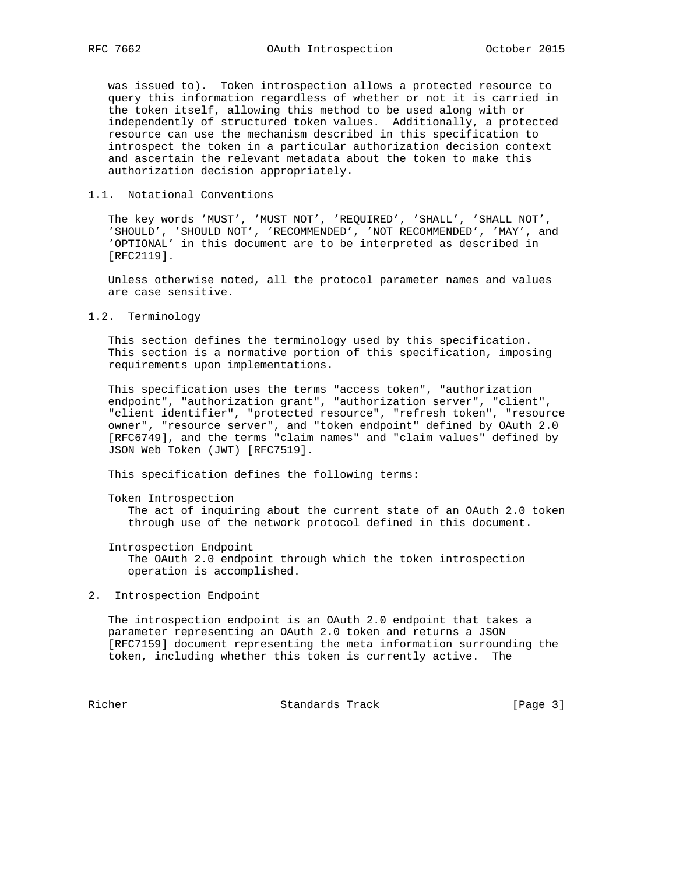was issued to). Token introspection allows a protected resource to query this information regardless of whether or not it is carried in the token itself, allowing this method to be used along with or independently of structured token values. Additionally, a protected resource can use the mechanism described in this specification to introspect the token in a particular authorization decision context and ascertain the relevant metadata about the token to make this authorization decision appropriately.

### 1.1. Notational Conventions

 The key words 'MUST', 'MUST NOT', 'REQUIRED', 'SHALL', 'SHALL NOT', 'SHOULD', 'SHOULD NOT', 'RECOMMENDED', 'NOT RECOMMENDED', 'MAY', and 'OPTIONAL' in this document are to be interpreted as described in [RFC2119].

 Unless otherwise noted, all the protocol parameter names and values are case sensitive.

1.2. Terminology

 This section defines the terminology used by this specification. This section is a normative portion of this specification, imposing requirements upon implementations.

 This specification uses the terms "access token", "authorization endpoint", "authorization grant", "authorization server", "client", "client identifier", "protected resource", "refresh token", "resource owner", "resource server", and "token endpoint" defined by OAuth 2.0 [RFC6749], and the terms "claim names" and "claim values" defined by JSON Web Token (JWT) [RFC7519].

This specification defines the following terms:

Token Introspection

 The act of inquiring about the current state of an OAuth 2.0 token through use of the network protocol defined in this document.

Introspection Endpoint

 The OAuth 2.0 endpoint through which the token introspection operation is accomplished.

2. Introspection Endpoint

 The introspection endpoint is an OAuth 2.0 endpoint that takes a parameter representing an OAuth 2.0 token and returns a JSON [RFC7159] document representing the meta information surrounding the token, including whether this token is currently active. The

Richer Standards Track [Page 3]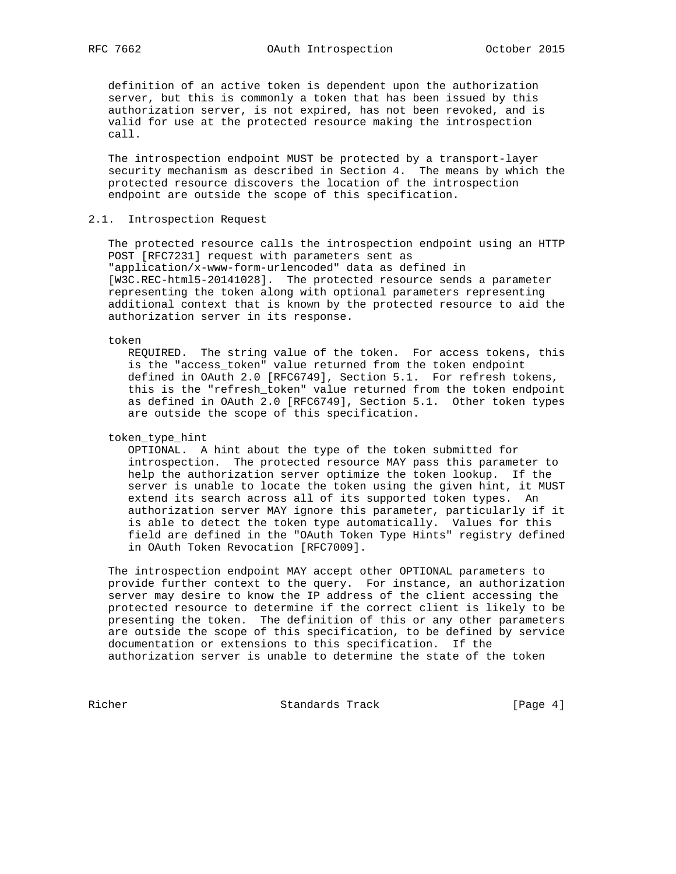definition of an active token is dependent upon the authorization server, but this is commonly a token that has been issued by this authorization server, is not expired, has not been revoked, and is valid for use at the protected resource making the introspection call.

 The introspection endpoint MUST be protected by a transport-layer security mechanism as described in Section 4. The means by which the protected resource discovers the location of the introspection endpoint are outside the scope of this specification.

## 2.1. Introspection Request

 The protected resource calls the introspection endpoint using an HTTP POST [RFC7231] request with parameters sent as "application/x-www-form-urlencoded" data as defined in [W3C.REC-html5-20141028]. The protected resource sends a parameter representing the token along with optional parameters representing additional context that is known by the protected resource to aid the authorization server in its response.

token

 REQUIRED. The string value of the token. For access tokens, this is the "access\_token" value returned from the token endpoint defined in OAuth 2.0 [RFC6749], Section 5.1. For refresh tokens, this is the "refresh\_token" value returned from the token endpoint as defined in OAuth 2.0 [RFC6749], Section 5.1. Other token types are outside the scope of this specification.

## token\_type\_hint

 OPTIONAL. A hint about the type of the token submitted for introspection. The protected resource MAY pass this parameter to help the authorization server optimize the token lookup. If the server is unable to locate the token using the given hint, it MUST extend its search across all of its supported token types. An authorization server MAY ignore this parameter, particularly if it is able to detect the token type automatically. Values for this field are defined in the "OAuth Token Type Hints" registry defined in OAuth Token Revocation [RFC7009].

 The introspection endpoint MAY accept other OPTIONAL parameters to provide further context to the query. For instance, an authorization server may desire to know the IP address of the client accessing the protected resource to determine if the correct client is likely to be presenting the token. The definition of this or any other parameters are outside the scope of this specification, to be defined by service documentation or extensions to this specification. If the authorization server is unable to determine the state of the token

Richer Standards Track [Page 4]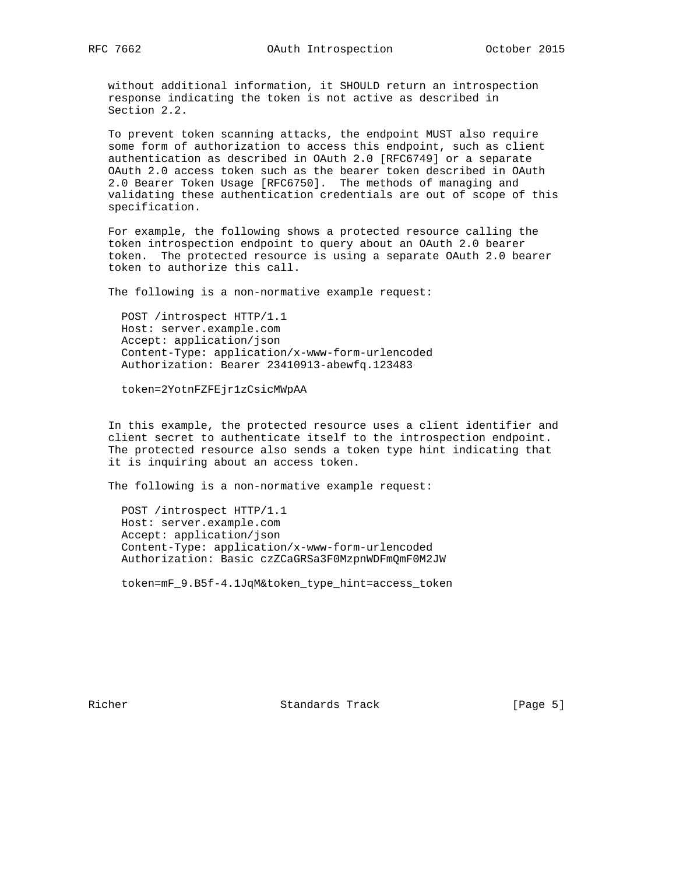without additional information, it SHOULD return an introspection response indicating the token is not active as described in Section 2.2.

 To prevent token scanning attacks, the endpoint MUST also require some form of authorization to access this endpoint, such as client authentication as described in OAuth 2.0 [RFC6749] or a separate OAuth 2.0 access token such as the bearer token described in OAuth 2.0 Bearer Token Usage [RFC6750]. The methods of managing and validating these authentication credentials are out of scope of this specification.

 For example, the following shows a protected resource calling the token introspection endpoint to query about an OAuth 2.0 bearer token. The protected resource is using a separate OAuth 2.0 bearer token to authorize this call.

The following is a non-normative example request:

 POST /introspect HTTP/1.1 Host: server.example.com Accept: application/json Content-Type: application/x-www-form-urlencoded Authorization: Bearer 23410913-abewfq.123483

token=2YotnFZFEjr1zCsicMWpAA

 In this example, the protected resource uses a client identifier and client secret to authenticate itself to the introspection endpoint. The protected resource also sends a token type hint indicating that it is inquiring about an access token.

The following is a non-normative example request:

 POST /introspect HTTP/1.1 Host: server.example.com Accept: application/json Content-Type: application/x-www-form-urlencoded Authorization: Basic czZCaGRSa3F0MzpnWDFmQmF0M2JW

token=mF\_9.B5f-4.1JqM&token\_type\_hint=access\_token

Richer Standards Track [Page 5]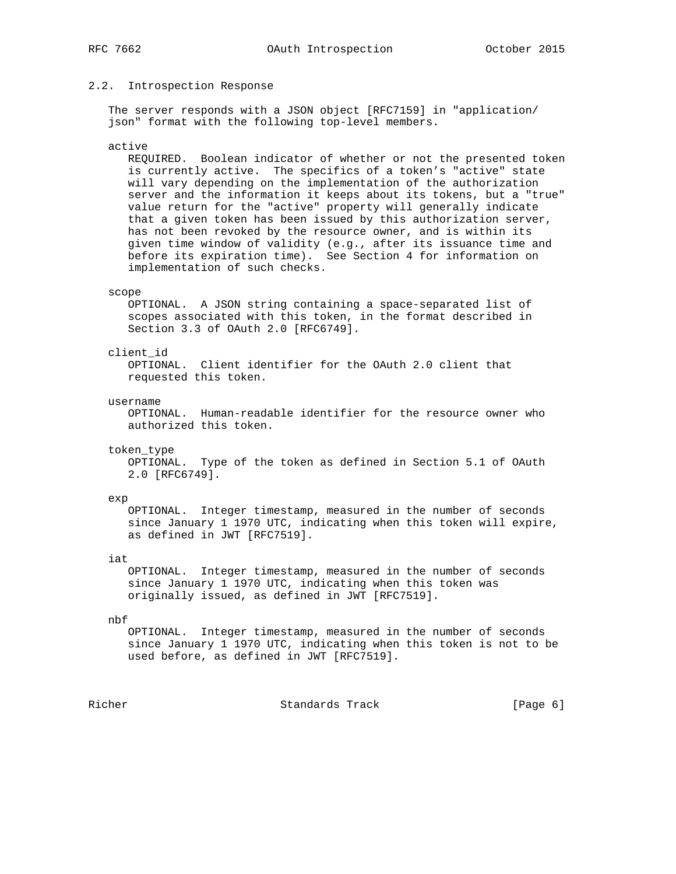### 2.2. Introspection Response

 The server responds with a JSON object [RFC7159] in "application/ json" format with the following top-level members.

### active

 REQUIRED. Boolean indicator of whether or not the presented token is currently active. The specifics of a token's "active" state will vary depending on the implementation of the authorization server and the information it keeps about its tokens, but a "true" value return for the "active" property will generally indicate that a given token has been issued by this authorization server, has not been revoked by the resource owner, and is within its given time window of validity (e.g., after its issuance time and before its expiration time). See Section 4 for information on implementation of such checks.

### scope

 OPTIONAL. A JSON string containing a space-separated list of scopes associated with this token, in the format described in Section 3.3 of OAuth 2.0 [RFC6749].

### client\_id

 OPTIONAL. Client identifier for the OAuth 2.0 client that requested this token.

#### username

 OPTIONAL. Human-readable identifier for the resource owner who authorized this token.

token\_type

 OPTIONAL. Type of the token as defined in Section 5.1 of OAuth 2.0 [RFC6749].

#### exp

 OPTIONAL. Integer timestamp, measured in the number of seconds since January 1 1970 UTC, indicating when this token will expire, as defined in JWT [RFC7519].

### iat

 OPTIONAL. Integer timestamp, measured in the number of seconds since January 1 1970 UTC, indicating when this token was originally issued, as defined in JWT [RFC7519].

#### nbf

 OPTIONAL. Integer timestamp, measured in the number of seconds since January 1 1970 UTC, indicating when this token is not to be used before, as defined in JWT [RFC7519].

Richer Standards Track [Page 6]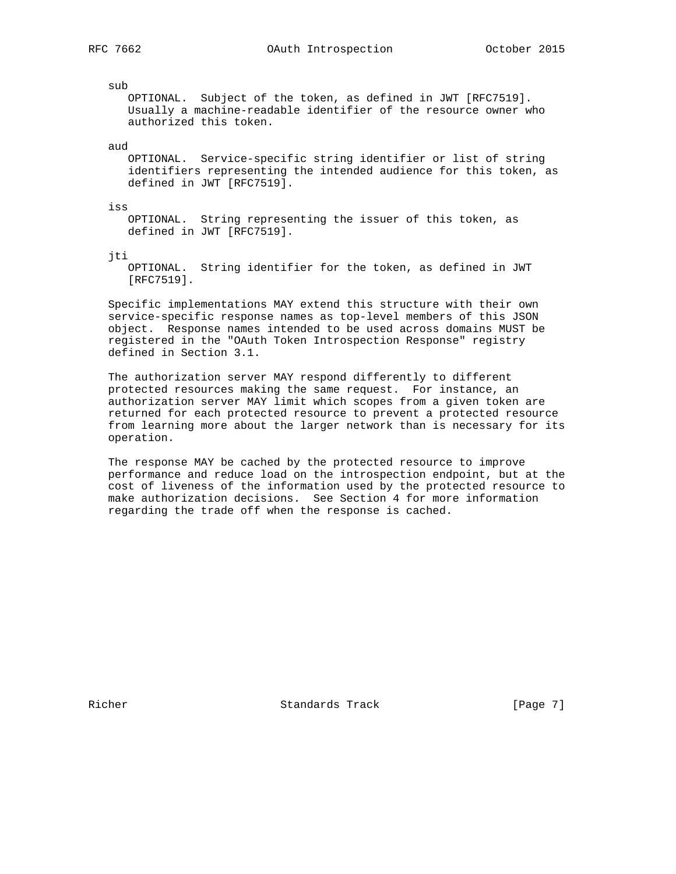sub

 OPTIONAL. Subject of the token, as defined in JWT [RFC7519]. Usually a machine-readable identifier of the resource owner who authorized this token.

aud

 OPTIONAL. Service-specific string identifier or list of string identifiers representing the intended audience for this token, as defined in JWT [RFC7519].

iss

 OPTIONAL. String representing the issuer of this token, as defined in JWT [RFC7519].

jti

 OPTIONAL. String identifier for the token, as defined in JWT [RFC7519].

 Specific implementations MAY extend this structure with their own service-specific response names as top-level members of this JSON object. Response names intended to be used across domains MUST be registered in the "OAuth Token Introspection Response" registry defined in Section 3.1.

 The authorization server MAY respond differently to different protected resources making the same request. For instance, an authorization server MAY limit which scopes from a given token are returned for each protected resource to prevent a protected resource from learning more about the larger network than is necessary for its operation.

 The response MAY be cached by the protected resource to improve performance and reduce load on the introspection endpoint, but at the cost of liveness of the information used by the protected resource to make authorization decisions. See Section 4 for more information regarding the trade off when the response is cached.

Richer Standards Track [Page 7]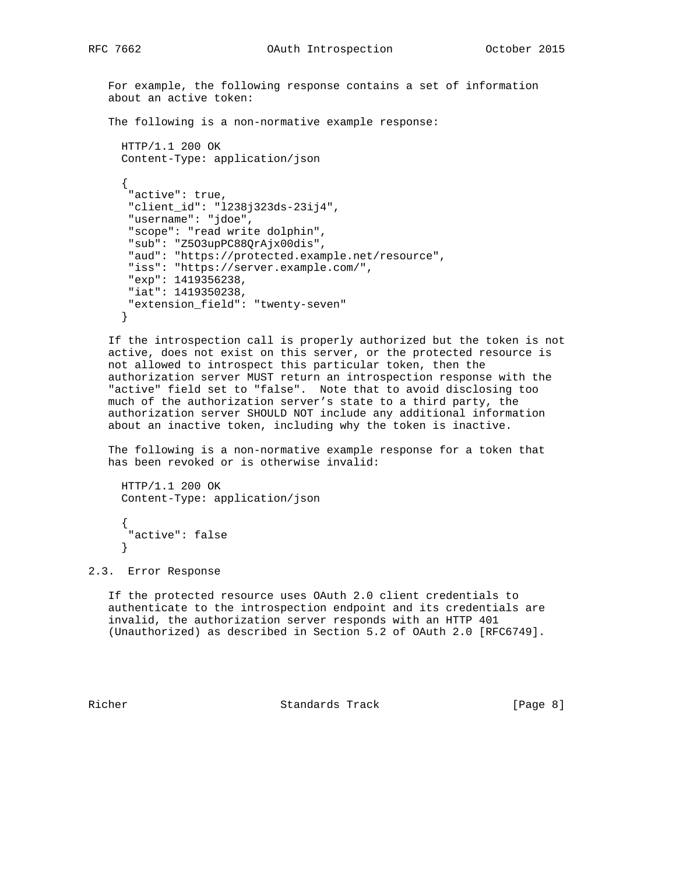```
 For example, the following response contains a set of information
    about an active token:
    The following is a non-normative example response:
      HTTP/1.1 200 OK
      Content-Type: application/json
\left\{\begin{array}{ccc} \end{array}\right\} "active": true,
       "client_id": "l238j323ds-23ij4",
       "username": "jdoe",
       "scope": "read write dolphin",
       "sub": "Z5O3upPC88QrAjx00dis",
       "aud": "https://protected.example.net/resource",
       "iss": "https://server.example.com/",
       "exp": 1419356238,
       "iat": 1419350238,
       "extension_field": "twenty-seven"
      }
```
 If the introspection call is properly authorized but the token is not active, does not exist on this server, or the protected resource is not allowed to introspect this particular token, then the authorization server MUST return an introspection response with the "active" field set to "false". Note that to avoid disclosing too much of the authorization server's state to a third party, the authorization server SHOULD NOT include any additional information about an inactive token, including why the token is inactive.

 The following is a non-normative example response for a token that has been revoked or is otherwise invalid:

```
 HTTP/1.1 200 OK
 Content-Type: application/json
```

```
 {
  "active": false
 }
```
## 2.3. Error Response

 If the protected resource uses OAuth 2.0 client credentials to authenticate to the introspection endpoint and its credentials are invalid, the authorization server responds with an HTTP 401 (Unauthorized) as described in Section 5.2 of OAuth 2.0 [RFC6749].

Richer Standards Track [Page 8]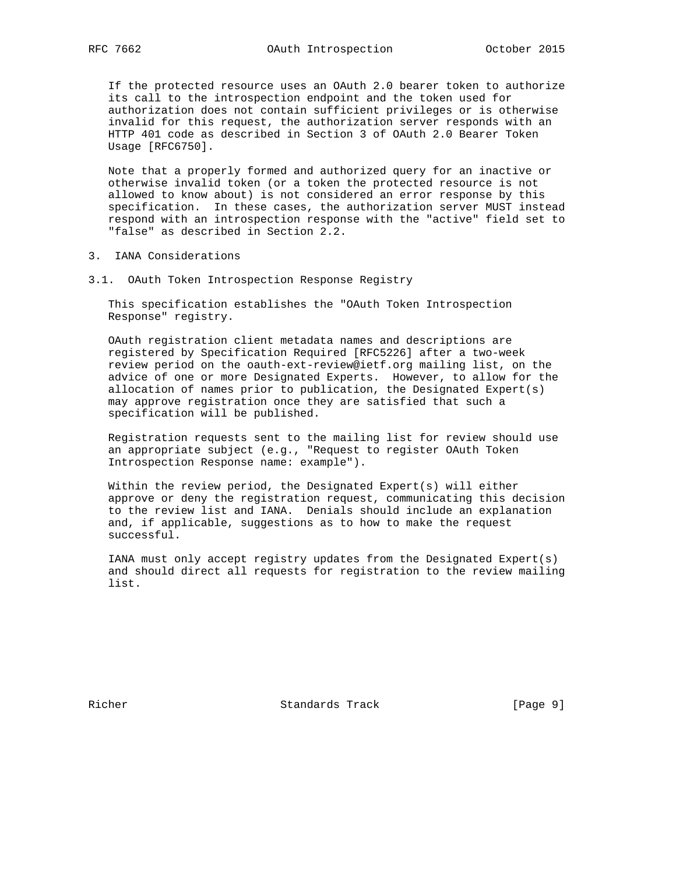If the protected resource uses an OAuth 2.0 bearer token to authorize its call to the introspection endpoint and the token used for authorization does not contain sufficient privileges or is otherwise invalid for this request, the authorization server responds with an HTTP 401 code as described in Section 3 of OAuth 2.0 Bearer Token Usage [RFC6750].

 Note that a properly formed and authorized query for an inactive or otherwise invalid token (or a token the protected resource is not allowed to know about) is not considered an error response by this specification. In these cases, the authorization server MUST instead respond with an introspection response with the "active" field set to "false" as described in Section 2.2.

- 3. IANA Considerations
- 3.1. OAuth Token Introspection Response Registry

 This specification establishes the "OAuth Token Introspection Response" registry.

 OAuth registration client metadata names and descriptions are registered by Specification Required [RFC5226] after a two-week review period on the oauth-ext-review@ietf.org mailing list, on the advice of one or more Designated Experts. However, to allow for the allocation of names prior to publication, the Designated Expert(s) may approve registration once they are satisfied that such a specification will be published.

 Registration requests sent to the mailing list for review should use an appropriate subject (e.g., "Request to register OAuth Token Introspection Response name: example").

 Within the review period, the Designated Expert(s) will either approve or deny the registration request, communicating this decision to the review list and IANA. Denials should include an explanation and, if applicable, suggestions as to how to make the request successful.

 IANA must only accept registry updates from the Designated Expert(s) and should direct all requests for registration to the review mailing list.

Richer Standards Track [Page 9]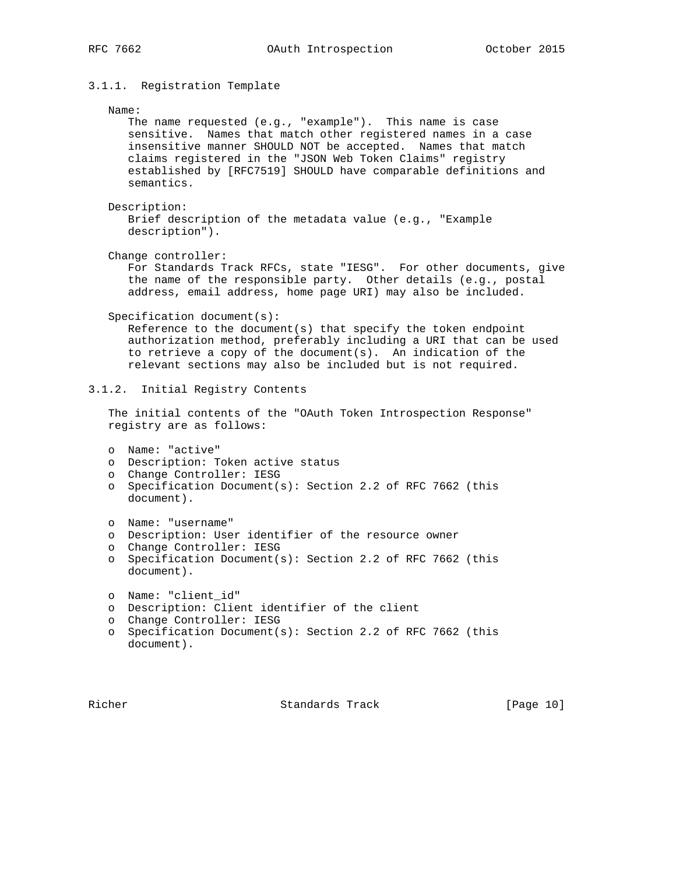## 3.1.1. Registration Template

### Name:

 The name requested (e.g., "example"). This name is case sensitive. Names that match other registered names in a case insensitive manner SHOULD NOT be accepted. Names that match claims registered in the "JSON Web Token Claims" registry established by [RFC7519] SHOULD have comparable definitions and semantics.

```
 Description:
```
 Brief description of the metadata value (e.g., "Example description").

Change controller:

 For Standards Track RFCs, state "IESG". For other documents, give the name of the responsible party. Other details (e.g., postal address, email address, home page URI) may also be included.

Specification document(s):

 Reference to the document(s) that specify the token endpoint authorization method, preferably including a URI that can be used to retrieve a copy of the document(s). An indication of the relevant sections may also be included but is not required.

## 3.1.2. Initial Registry Contents

 The initial contents of the "OAuth Token Introspection Response" registry are as follows:

```
 o Name: "active"
```
- o Description: Token active status
- o Change Controller: IESG
- o Specification Document(s): Section 2.2 of RFC 7662 (this document).

```
 o Name: "username"
```
- o Description: User identifier of the resource owner
- o Change Controller: IESG
- o Specification Document(s): Section 2.2 of RFC 7662 (this document).

```
 o Name: "client_id"
```
- o Description: Client identifier of the client
- o Change Controller: IESG
- o Specification Document(s): Section 2.2 of RFC 7662 (this document).

Richer Standards Track [Page 10]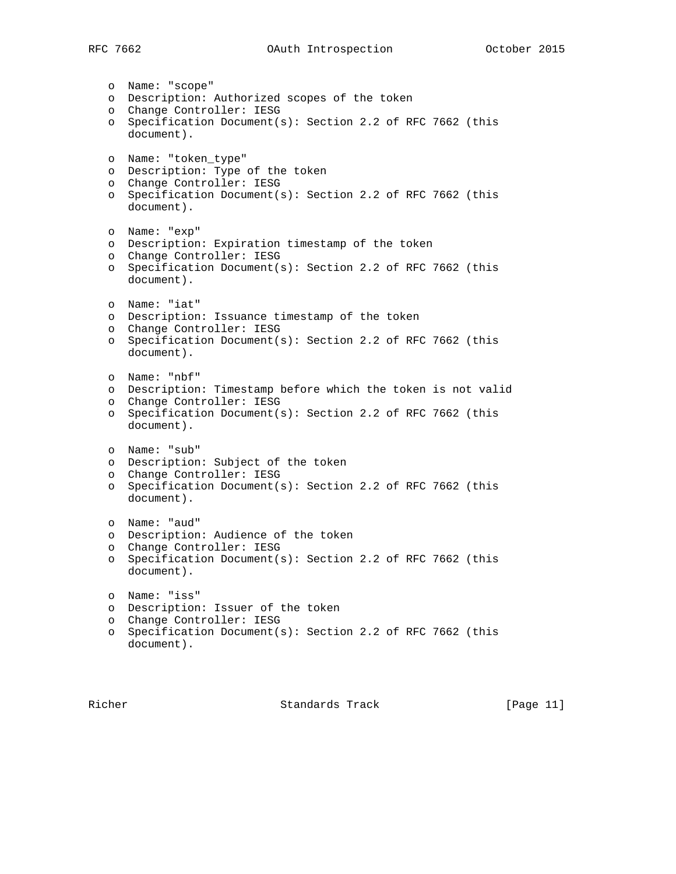# RFC 7662 **OAuth Introspection** October 2015

o Name: "scope"

```
 o Description: Authorized scopes of the token
 o Change Controller: IESG
 o Specification Document(s): Section 2.2 of RFC 7662 (this
   document).
 o Name: "token_type"
 o Description: Type of the token
 o Change Controller: IESG
 o Specification Document(s): Section 2.2 of RFC 7662 (this
   document).
 o Name: "exp"
 o Description: Expiration timestamp of the token
 o Change Controller: IESG
 o Specification Document(s): Section 2.2 of RFC 7662 (this
   document).
 o Name: "iat"
 o Description: Issuance timestamp of the token
 o Change Controller: IESG
 o Specification Document(s): Section 2.2 of RFC 7662 (this
   document).
 o Name: "nbf"
 o Description: Timestamp before which the token is not valid
 o Change Controller: IESG
 o Specification Document(s): Section 2.2 of RFC 7662 (this
   document).
 o Name: "sub"
 o Description: Subject of the token
 o Change Controller: IESG
 o Specification Document(s): Section 2.2 of RFC 7662 (this
   document).
 o Name: "aud"
 o Description: Audience of the token
 o Change Controller: IESG
 o Specification Document(s): Section 2.2 of RFC 7662 (this
   document).
 o Name: "iss"
 o Description: Issuer of the token
 o Change Controller: IESG
 o Specification Document(s): Section 2.2 of RFC 7662 (this
   document).
```
Richer Standards Track [Page 11]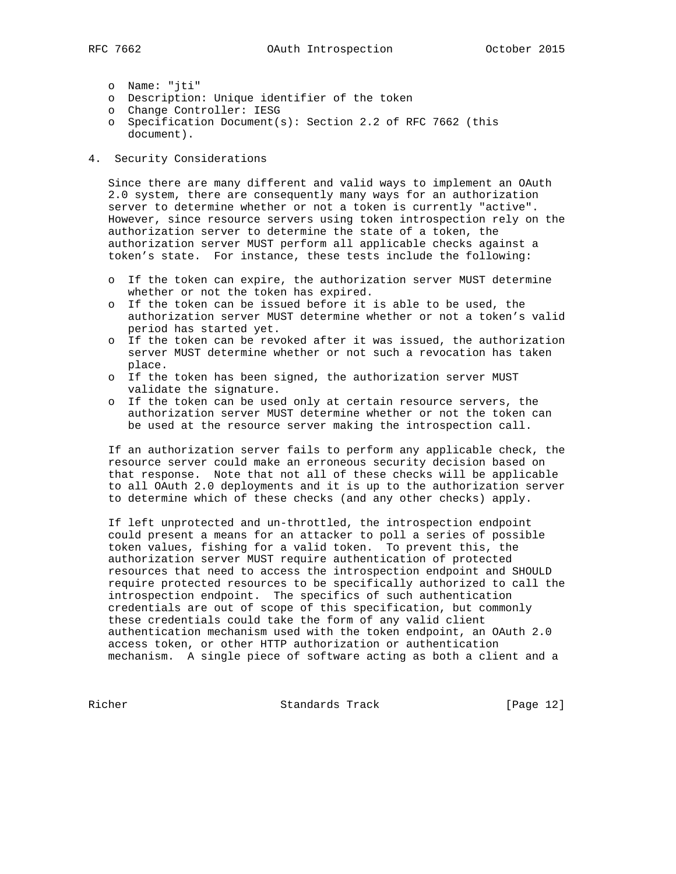- o Name: "jti"
- o Description: Unique identifier of the token
- o Change Controller: IESG
- o Specification Document(s): Section 2.2 of RFC 7662 (this document).
- 4. Security Considerations

 Since there are many different and valid ways to implement an OAuth 2.0 system, there are consequently many ways for an authorization server to determine whether or not a token is currently "active". However, since resource servers using token introspection rely on the authorization server to determine the state of a token, the authorization server MUST perform all applicable checks against a token's state. For instance, these tests include the following:

- o If the token can expire, the authorization server MUST determine whether or not the token has expired.
- o If the token can be issued before it is able to be used, the authorization server MUST determine whether or not a token's valid period has started yet.
- o If the token can be revoked after it was issued, the authorization server MUST determine whether or not such a revocation has taken place.
- o If the token has been signed, the authorization server MUST validate the signature.
- o If the token can be used only at certain resource servers, the authorization server MUST determine whether or not the token can be used at the resource server making the introspection call.

 If an authorization server fails to perform any applicable check, the resource server could make an erroneous security decision based on that response. Note that not all of these checks will be applicable to all OAuth 2.0 deployments and it is up to the authorization server to determine which of these checks (and any other checks) apply.

 If left unprotected and un-throttled, the introspection endpoint could present a means for an attacker to poll a series of possible token values, fishing for a valid token. To prevent this, the authorization server MUST require authentication of protected resources that need to access the introspection endpoint and SHOULD require protected resources to be specifically authorized to call the introspection endpoint. The specifics of such authentication credentials are out of scope of this specification, but commonly these credentials could take the form of any valid client authentication mechanism used with the token endpoint, an OAuth 2.0 access token, or other HTTP authorization or authentication mechanism. A single piece of software acting as both a client and a

Richer Standards Track [Page 12]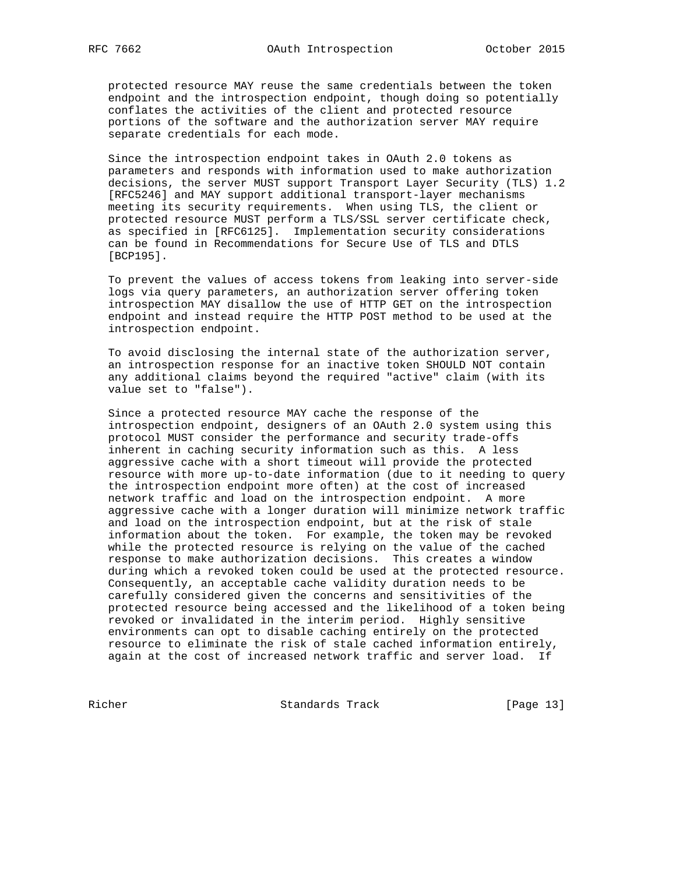protected resource MAY reuse the same credentials between the token endpoint and the introspection endpoint, though doing so potentially conflates the activities of the client and protected resource portions of the software and the authorization server MAY require separate credentials for each mode.

 Since the introspection endpoint takes in OAuth 2.0 tokens as parameters and responds with information used to make authorization decisions, the server MUST support Transport Layer Security (TLS) 1.2 [RFC5246] and MAY support additional transport-layer mechanisms meeting its security requirements. When using TLS, the client or protected resource MUST perform a TLS/SSL server certificate check, as specified in [RFC6125]. Implementation security considerations can be found in Recommendations for Secure Use of TLS and DTLS [BCP195].

 To prevent the values of access tokens from leaking into server-side logs via query parameters, an authorization server offering token introspection MAY disallow the use of HTTP GET on the introspection endpoint and instead require the HTTP POST method to be used at the introspection endpoint.

 To avoid disclosing the internal state of the authorization server, an introspection response for an inactive token SHOULD NOT contain any additional claims beyond the required "active" claim (with its value set to "false").

 Since a protected resource MAY cache the response of the introspection endpoint, designers of an OAuth 2.0 system using this protocol MUST consider the performance and security trade-offs inherent in caching security information such as this. A less aggressive cache with a short timeout will provide the protected resource with more up-to-date information (due to it needing to query the introspection endpoint more often) at the cost of increased network traffic and load on the introspection endpoint. A more aggressive cache with a longer duration will minimize network traffic and load on the introspection endpoint, but at the risk of stale information about the token. For example, the token may be revoked while the protected resource is relying on the value of the cached response to make authorization decisions. This creates a window during which a revoked token could be used at the protected resource. Consequently, an acceptable cache validity duration needs to be carefully considered given the concerns and sensitivities of the protected resource being accessed and the likelihood of a token being revoked or invalidated in the interim period. Highly sensitive environments can opt to disable caching entirely on the protected resource to eliminate the risk of stale cached information entirely, again at the cost of increased network traffic and server load. If

Richer Standards Track [Page 13]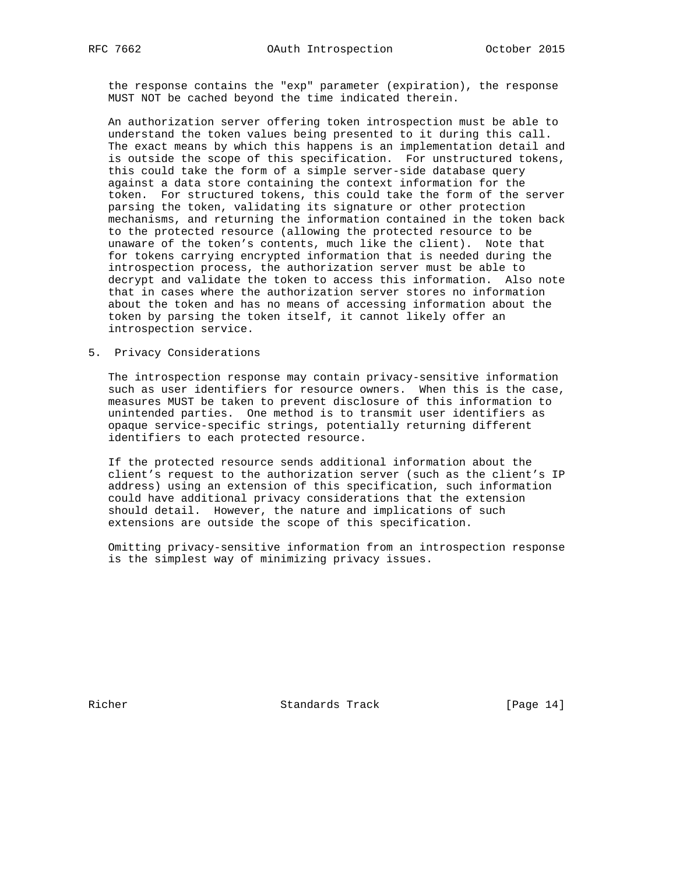the response contains the "exp" parameter (expiration), the response MUST NOT be cached beyond the time indicated therein.

 An authorization server offering token introspection must be able to understand the token values being presented to it during this call. The exact means by which this happens is an implementation detail and is outside the scope of this specification. For unstructured tokens, this could take the form of a simple server-side database query against a data store containing the context information for the token. For structured tokens, this could take the form of the server parsing the token, validating its signature or other protection mechanisms, and returning the information contained in the token back to the protected resource (allowing the protected resource to be unaware of the token's contents, much like the client). Note that for tokens carrying encrypted information that is needed during the introspection process, the authorization server must be able to decrypt and validate the token to access this information. Also note that in cases where the authorization server stores no information about the token and has no means of accessing information about the token by parsing the token itself, it cannot likely offer an introspection service.

5. Privacy Considerations

 The introspection response may contain privacy-sensitive information such as user identifiers for resource owners. When this is the case, measures MUST be taken to prevent disclosure of this information to unintended parties. One method is to transmit user identifiers as opaque service-specific strings, potentially returning different identifiers to each protected resource.

 If the protected resource sends additional information about the client's request to the authorization server (such as the client's IP address) using an extension of this specification, such information could have additional privacy considerations that the extension should detail. However, the nature and implications of such extensions are outside the scope of this specification.

 Omitting privacy-sensitive information from an introspection response is the simplest way of minimizing privacy issues.

Richer Standards Track [Page 14]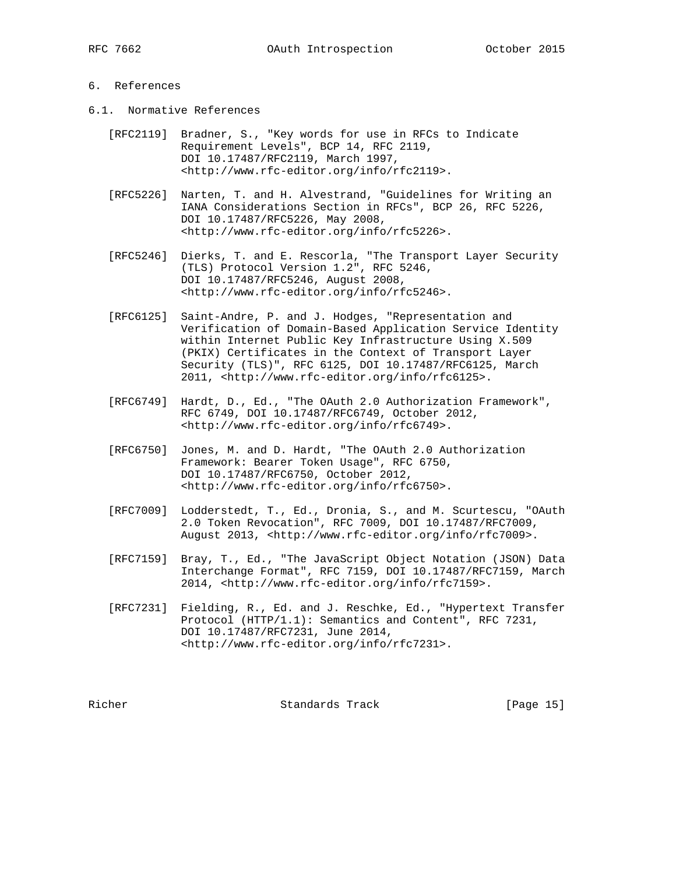## 6. References

- 6.1. Normative References
	- [RFC2119] Bradner, S., "Key words for use in RFCs to Indicate Requirement Levels", BCP 14, RFC 2119, DOI 10.17487/RFC2119, March 1997, <http://www.rfc-editor.org/info/rfc2119>.
	- [RFC5226] Narten, T. and H. Alvestrand, "Guidelines for Writing an IANA Considerations Section in RFCs", BCP 26, RFC 5226, DOI 10.17487/RFC5226, May 2008, <http://www.rfc-editor.org/info/rfc5226>.
- [RFC5246] Dierks, T. and E. Rescorla, "The Transport Layer Security (TLS) Protocol Version 1.2", RFC 5246, DOI 10.17487/RFC5246, August 2008, <http://www.rfc-editor.org/info/rfc5246>.
	- [RFC6125] Saint-Andre, P. and J. Hodges, "Representation and Verification of Domain-Based Application Service Identity within Internet Public Key Infrastructure Using X.509 (PKIX) Certificates in the Context of Transport Layer Security (TLS)", RFC 6125, DOI 10.17487/RFC6125, March 2011, <http://www.rfc-editor.org/info/rfc6125>.
	- [RFC6749] Hardt, D., Ed., "The OAuth 2.0 Authorization Framework", RFC 6749, DOI 10.17487/RFC6749, October 2012, <http://www.rfc-editor.org/info/rfc6749>.
	- [RFC6750] Jones, M. and D. Hardt, "The OAuth 2.0 Authorization Framework: Bearer Token Usage", RFC 6750, DOI 10.17487/RFC6750, October 2012, <http://www.rfc-editor.org/info/rfc6750>.
	- [RFC7009] Lodderstedt, T., Ed., Dronia, S., and M. Scurtescu, "OAuth 2.0 Token Revocation", RFC 7009, DOI 10.17487/RFC7009, August 2013, <http://www.rfc-editor.org/info/rfc7009>.
	- [RFC7159] Bray, T., Ed., "The JavaScript Object Notation (JSON) Data Interchange Format", RFC 7159, DOI 10.17487/RFC7159, March 2014, <http://www.rfc-editor.org/info/rfc7159>.
	- [RFC7231] Fielding, R., Ed. and J. Reschke, Ed., "Hypertext Transfer Protocol (HTTP/1.1): Semantics and Content", RFC 7231, DOI 10.17487/RFC7231, June 2014, <http://www.rfc-editor.org/info/rfc7231>.

Richer Standards Track [Page 15]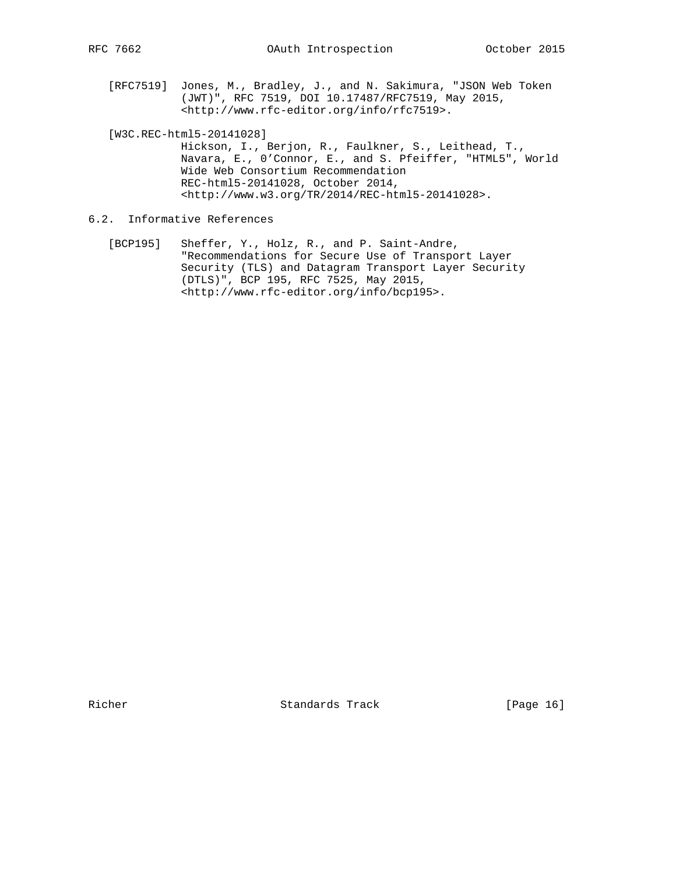[RFC7519] Jones, M., Bradley, J., and N. Sakimura, "JSON Web Token (JWT)", RFC 7519, DOI 10.17487/RFC7519, May 2015, <http://www.rfc-editor.org/info/rfc7519>.

[W3C.REC-html5-20141028]

 Hickson, I., Berjon, R., Faulkner, S., Leithead, T., Navara, E., 0'Connor, E., and S. Pfeiffer, "HTML5", World Wide Web Consortium Recommendation REC-html5-20141028, October 2014, <http://www.w3.org/TR/2014/REC-html5-20141028>.

- 6.2. Informative References
	- [BCP195] Sheffer, Y., Holz, R., and P. Saint-Andre, "Recommendations for Secure Use of Transport Layer Security (TLS) and Datagram Transport Layer Security (DTLS)", BCP 195, RFC 7525, May 2015, <http://www.rfc-editor.org/info/bcp195>.

Richer Standards Track [Page 16]